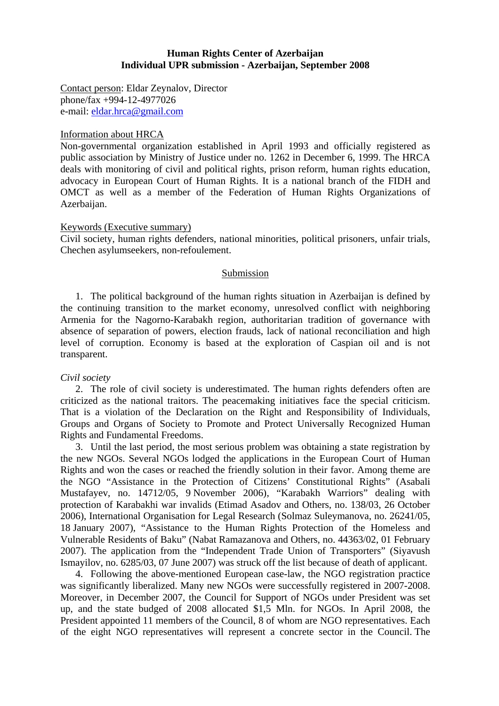## **Human Rights Center of Azerbaijan Individual UPR submission - Azerbaijan, September 2008**

Contact person: Eldar Zeynalov, Director phone/fax +994-12-4977026 e-mail: eldar.hrca@gmail.com

## Information about HRCA

Non-governmental organization established in April 1993 and officially registered as public association by Ministry of Justice under no. 1262 in December 6, 1999. The HRCA deals with monitoring of civil and political rights, prison reform, human rights education, advocacy in European Court of Human Rights. It is a national branch of the FIDH and OMCT as well as a member of the Federation of Human Rights Organizations of Azerbaijan.

# Keywords (Executive summary)

Civil society, human rights defenders, national minorities, political prisoners, unfair trials, Chechen asylumseekers, non-refoulement.

# Submission

1. The political background of the human rights situation in Azerbaijan is defined by the continuing transition to the market economy, unresolved conflict with neighboring Armenia for the Nagorno-Karabakh region, authoritarian tradition of governance with absence of separation of powers, election frauds, lack of national reconciliation and high level of corruption. Economy is based at the exploration of Caspian oil and is not transparent.

## *Civil society*

2. The role of civil society is underestimated. The human rights defenders often are criticized as the national traitors. The peacemaking initiatives face the special criticism. That is a violation of the Declaration on the Right and Responsibility of Individuals, Groups and Organs of Society to Promote and Protect Universally Recognized Human Rights and Fundamental Freedoms.

3. Until the last period, the most serious problem was obtaining a state registration by the new NGOs. Several NGOs lodged the applications in the European Court of Human Rights and won the cases or reached the friendly solution in their favor. Among theme are the NGO "Assistance in the Protection of Citizens' Constitutional Rights" (Asabali Mustafayev, no. 14712/05, 9 November 2006), "Karabakh Warriors" dealing with protection of Karabakhi war invalids (Etimad Asadov and Others, no. 138/03, 26 October 2006), International Organisation for Legal Research (Solmaz Suleymanova, no. 26241/05, 18 January 2007), "Assistance to the Human Rights Protection of the Homeless and Vulnerable Residents of Baku" (Nabat Ramazanova and Others, no. 44363/02, 01 February 2007). The application from the "Independent Trade Union of Transporters" (Siyavush Ismayilov, no. 6285/03, 07 June 2007) was struck off the list because of death of applicant.

4. Following the above-mentioned European case-law, the NGO registration practice was significantly liberalized. Many new NGOs were successfully registered in 2007-2008. Moreover, in December 2007, the Council for Support of NGOs under President was set up, and the state budged of 2008 allocated \$1,5 Mln. for NGOs. In April 2008, the President appointed 11 members of the Council, 8 of whom are NGO representatives. Each of the eight NGO representatives will represent a concrete sector in the Council. The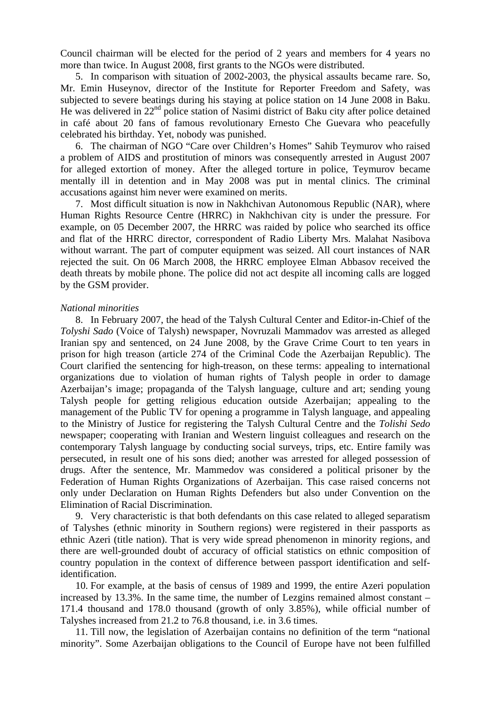Council chairman will be elected for the period of 2 years and members for 4 years no more than twice. In August 2008, first grants to the NGOs were distributed.

5. In comparison with situation of 2002-2003, the physical assaults became rare. So, Mr. Emin Huseynov, director of the Institute for Reporter Freedom and Safety, was subjected to severe beatings during his staying at police station on 14 June 2008 in Baku. He was delivered in 22<sup>nd</sup> police station of Nasimi district of Baku city after police detained in café about 20 fans of famous revolutionary Ernesto Che Guevara who peacefully celebrated his birthday. Yet, nobody was punished.

6. The chairman of NGO "Care over Children's Homes" Sahib Teymurov who raised a problem of AIDS and prostitution of minors was consequently arrested in August 2007 for alleged extortion of money. After the alleged torture in police, Teymurov became mentally ill in detention and in May 2008 was put in mental clinics. The criminal accusations against him never were examined on merits.

7. Most difficult situation is now in Nakhchivan Autonomous Republic (NAR), where Human Rights Resource Centre (HRRC) in Nakhchivan city is under the pressure. For example, on 05 December 2007, the HRRC was raided by police who searched its office and flat of the HRRC director, correspondent of Radio Liberty Mrs. Malahat Nasibova without warrant. The part of computer equipment was seized. All court instances of NAR rejected the suit. On 06 March 2008, the HRRC employee Elman Abbasov received the death threats by mobile phone. The police did not act despite all incoming calls are logged by the GSM provider.

#### *National minorities*

8. In February 2007, the head of the Talysh Cultural Center and Editor-in-Chief of the *Tolyshi Sado* (Voice of Talysh) newspaper, Novruzali Mammadov was arrested as alleged Iranian spy and sentenced, on 24 June 2008, by the Grave Crime Court to ten years in prison for high treason (article 274 of the Criminal Code the Azerbaijan Republic). The Court clarified the sentencing for high-treason, on these terms: appealing to international organizations due to violation of human rights of Talysh people in order to damage Azerbaijan's image; propaganda of the Talysh language, culture and art; sending young Talysh people for getting religious education outside Azerbaijan; appealing to the management of the Public TV for opening a programme in Talysh language, and appealing to the Ministry of Justice for registering the Talysh Cultural Centre and the *Tolishi Sedo* newspaper; cooperating with Iranian and Western linguist colleagues and research on the contemporary Talysh language by conducting social surveys, trips, etc. Entire family was persecuted, in result one of his sons died; another was arrested for alleged possession of drugs. After the sentence, Mr. Mammedov was considered a political prisoner by the Federation of Human Rights Organizations of Azerbaijan. This case raised concerns not only under Declaration on Human Rights Defenders but also under Convention on the Elimination of Racial Discrimination.

9. Very characteristic is that both defendants on this case related to alleged separatism of Talyshes (ethnic minority in Southern regions) were registered in their passports as ethnic Azeri (title nation). That is very wide spread phenomenon in minority regions, and there are well-grounded doubt of accuracy of official statistics on ethnic composition of country population in the context of difference between passport identification and selfidentification.

10. For example, at the basis of census of 1989 and 1999, the entire Azeri population increased by 13.3%. In the same time, the number of Lezgins remained almost constant – 171.4 thousand and 178.0 thousand (growth of only 3.85%), while official number of Talyshes increased from 21.2 to 76.8 thousand, i.e. in 3.6 times.

11. Till now, the legislation of Azerbaijan contains no definition of the term "national minority". Some Azerbaijan obligations to the Council of Europe have not been fulfilled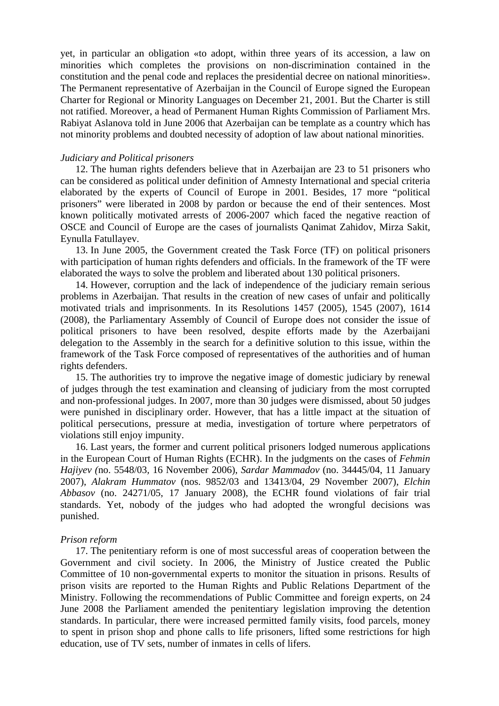yet, in particular an obligation «to adopt, within three years of its accession, a law on minorities which completes the provisions on non-discrimination contained in the constitution and the penal code and replaces the presidential decree on national minorities». The Permanent representative of Azerbaijan in the Council of Europe signed the European Charter for Regional or Minority Languages on December 21, 2001. But the Charter is still not ratified. Moreover, a head of Permanent Human Rights Commission of Parliament Mrs. Rabiyat Aslanova told in June 2006 that Azerbaijan can be template as a country which has not minority problems and doubted necessity of adoption of law about national minorities.

### *Judiciary and Political prisoners*

12. The human rights defenders believe that in Azerbaijan are 23 to 51 prisoners who can be considered as political under definition of Amnesty International and special criteria elaborated by the experts of Council of Europe in 2001. Besides, 17 more "political prisoners" were liberated in 2008 by pardon or because the end of their sentences. Most known politically motivated arrests of 2006-2007 which faced the negative reaction of OSCE and Council of Europe are the cases of journalists Qanimat Zahidov, Mirza Sakit, Eynulla Fatullayev.

13. In June 2005, the Government created the Task Force (TF) on political prisoners with participation of human rights defenders and officials. In the framework of the TF were elaborated the ways to solve the problem and liberated about 130 political prisoners.

14. However, corruption and the lack of independence of the judiciary remain serious problems in Azerbaijan. That results in the creation of new cases of unfair and politically motivated trials and imprisonments. In its Resolutions 1457 (2005), 1545 (2007), 1614 (2008), the Parliamentary Assembly of Council of Europe does not consider the issue of political prisoners to have been resolved, despite efforts made by the Azerbaijani delegation to the Assembly in the search for a definitive solution to this issue, within the framework of the Task Force composed of representatives of the authorities and of human rights defenders.

15. The authorities try to improve the negative image of domestic judiciary by renewal of judges through the test examination and cleansing of judiciary from the most corrupted and non-professional judges. In 2007, more than 30 judges were dismissed, about 50 judges were punished in disciplinary order. However, that has a little impact at the situation of political persecutions, pressure at media, investigation of torture where perpetrators of violations still enjoy impunity.

16. Last years, the former and current political prisoners lodged numerous applications in the European Court of Human Rights (ECHR). In the judgments on the cases of *Fehmin Hajiyev (*no. 5548/03*,* 16 November 2006), *Sardar Mammadov* (no. 34445/04, 11 January 2007), *Alakram Hummatov* (nos. 9852/03 and 13413/04, 29 November 2007), *Elchin Abbasov* (no. 24271/05, 17 January 2008), the ECHR found violations of fair trial standards. Yet, nobody of the judges who had adopted the wrongful decisions was punished.

#### *Prison reform*

17. The penitentiary reform is one of most successful areas of cooperation between the Government and civil society. In 2006, the Ministry of Justice created the Public Committee of 10 non-governmental experts to monitor the situation in prisons. Results of prison visits are reported to the Human Rights and Public Relations Department of the Ministry. Following the recommendations of Public Committee and foreign experts, on 24 June 2008 the Parliament amended the penitentiary legislation improving the detention standards. In particular, there were increased permitted family visits, food parcels, money to spent in prison shop and phone calls to life prisoners, lifted some restrictions for high education, use of TV sets, number of inmates in cells of lifers.